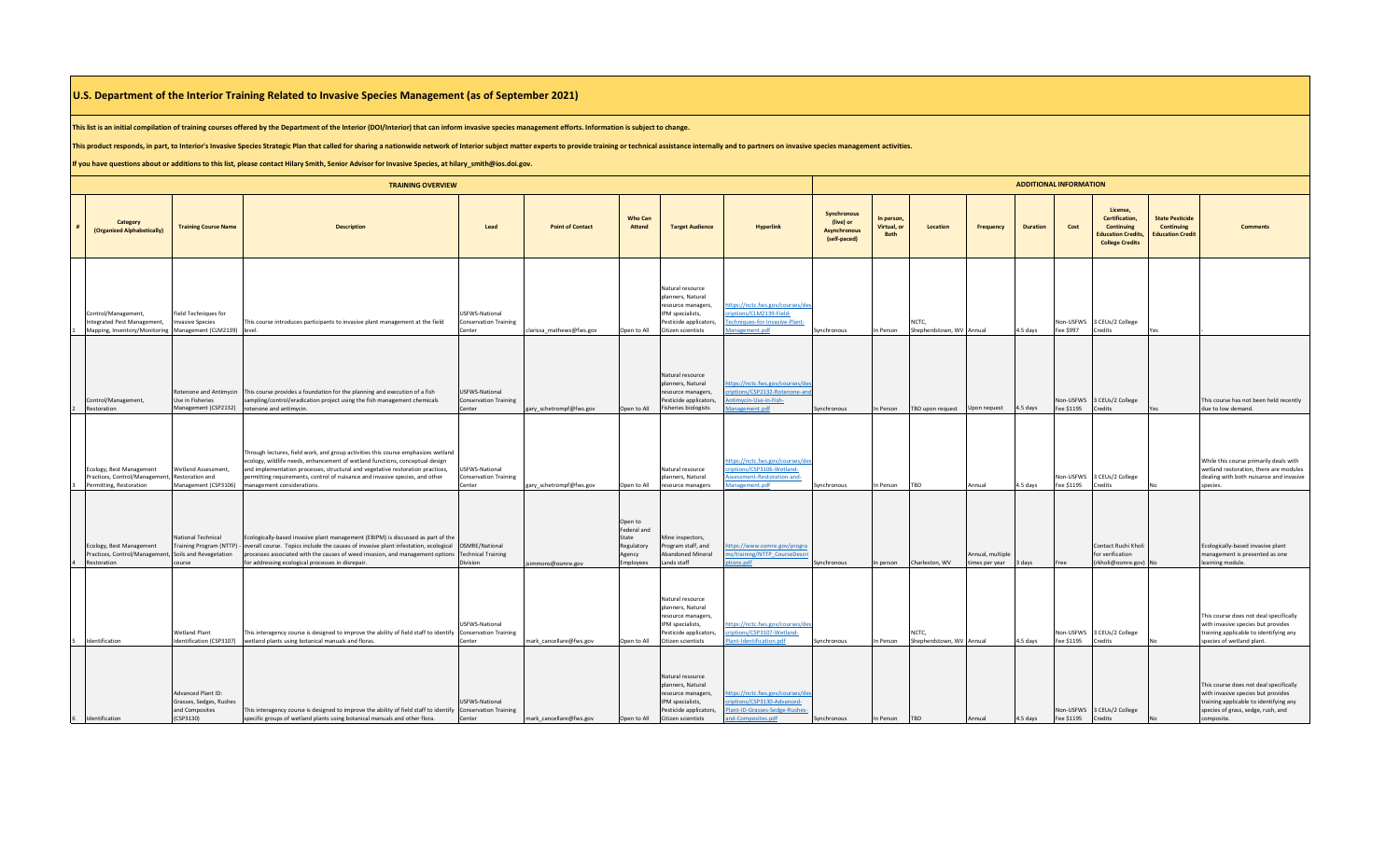## **U.S. Department of the Interior Training Related to Invasive Species Management (as of September 2021)**

**This list is an initial compilation of training courses offered by the Department of the Interior (DOI/Interior) that can inform invasive species management efforts. Information is subject to change.** 

This product responds, in part, to Interior's Invasive Species Strategic Plan that called for sharing a nationwide network of Interior subject matter experts to provide training or technical assistance internally and to pa

**If you have questions about or additions to this list, please contact Hilary Smith, Senior Advisor for Invasive Species, at hilary\_smith@ios.doi.gov.**

| <b>TRAINING OVERVIEW</b> |                                                                                                                |                                                                              |                                                                                                                                                                                                                                                                                                                                                                                       |                                                                 |                          |                                                                      |                                                                                                                                 |                                                                                                                       |                                                                 | <b>ADDITIONAL INFORMATION</b>            |                                   |                                   |                 |                         |                                                                                                        |                                                                       |                                                                                                                                                                            |  |  |  |  |
|--------------------------|----------------------------------------------------------------------------------------------------------------|------------------------------------------------------------------------------|---------------------------------------------------------------------------------------------------------------------------------------------------------------------------------------------------------------------------------------------------------------------------------------------------------------------------------------------------------------------------------------|-----------------------------------------------------------------|--------------------------|----------------------------------------------------------------------|---------------------------------------------------------------------------------------------------------------------------------|-----------------------------------------------------------------------------------------------------------------------|-----------------------------------------------------------------|------------------------------------------|-----------------------------------|-----------------------------------|-----------------|-------------------------|--------------------------------------------------------------------------------------------------------|-----------------------------------------------------------------------|----------------------------------------------------------------------------------------------------------------------------------------------------------------------------|--|--|--|--|
|                          | Category<br>(Organized Alphabetically)                                                                         | <b>Training Course Name</b>                                                  | <b>Description</b>                                                                                                                                                                                                                                                                                                                                                                    | Lead                                                            | <b>Point of Contact</b>  | <b>Who Can</b><br>Attend                                             | <b>Target Audience</b>                                                                                                          | <b>Hyperlink</b>                                                                                                      | Synchronous<br>(live) or<br><b>Asynchronous</b><br>(self-paced) | In person,<br>Virtual, or<br><b>Both</b> | Location                          | <b>Frequency</b>                  | <b>Duration</b> | Cost                    | License,<br>Certification,<br><b>Continuing</b><br><b>Education Credits,</b><br><b>College Credits</b> | <b>State Pesticide</b><br><b>Continuing</b><br><b>Education Credi</b> | <b>Comments</b>                                                                                                                                                            |  |  |  |  |
|                          | Control/Management,<br>Integrated Pest Management,<br>Mapping, Inventory/Monitoring Management (CLM2139) level | <b>Field Techniques for</b><br><b>Invasive Species</b>                       | This course introduces participants to invasive plant management at the field                                                                                                                                                                                                                                                                                                         | USFWS-National<br><b>Conservation Training</b><br>Center        | clarissa mathews@fws.gov | Open to All                                                          | Natural resource<br>planners, Natural<br>resource managers,<br>PM specialists,<br>Pesticide applicators,<br>Citizen scientists  | ttps://nctc.fws.gov/courses/de<br>riptions/CLM2139-Field-<br>echniques-for-Invasive-Plant-<br>lanagement.pdf          | Synchronous                                                     | In Person                                | NCTC,<br>Shepherdstown, WV Annual |                                   | 4.5 days        | Fee \$997               | Non-USFWS 3 CEUs/2 College<br>Credits                                                                  |                                                                       |                                                                                                                                                                            |  |  |  |  |
|                          | Control/Management,<br>Restoration                                                                             | Use in Fisheries<br>Management (CSP2132) rotenone and antimycin.             | Rotenone and Antimycin This course provides a foundation for the planning and execution of a fish<br>sampling/control/eradication project using the fish management chemicals                                                                                                                                                                                                         | <b>USFWS-National</b><br><b>Conservation Training</b><br>Center | gary_schetrompf@fws.gov  | Open to All                                                          | Natural resource<br>planners, Natural<br>esource managers,<br>esticide applicators,<br>Fisheries biologists                     | nttps://nctc.fws.gov/courses/de<br>riptions/CSP2132-Rotenone-an<br>ntimycin-Use-in-Fish-<br>anagement.pdf             | Synchronous                                                     | In Person                                | TBD upon request                  | Upon request                      | 4.5 days        | Non-USFWS<br>Fee \$1195 | 3 CEUs/2 College<br>Credits                                                                            |                                                                       | This course has not been held recently<br>due to low demand.                                                                                                               |  |  |  |  |
|                          | Ecology, Best Management<br>Practices, Control/Management,<br>Permitting, Restoration                          | Wetland Assessment,<br>Restoration and                                       | Through lectures, field work, and group activities this course emphasizes wetland<br>ecology, wildlife needs, enhancement of wetland functions, conceptual design<br>and implementation processes, structural and vegetative restoration practices,<br>permitting requirements, control of nuisance and invasive species, and other<br>Management (CSP3106) management considerations | <b>USFWS-National</b><br><b>Conservation Training</b><br>Center | gary_schetrompf@fws.gov  | Open to All                                                          | Vatural resource<br>planners, Natural<br>esource managers                                                                       | ttps://nctc.fws.gov/courses/de<br>riptions/CSP3106-Wetland-<br>ssessment-Restoration-and-<br>lanagement.pdf           | Synchronous                                                     | In Person                                | TBD                               | Annual                            | 4.5 days        | Von-USFWS<br>Fee \$1195 | 3 CEUs/2 College<br>Credits                                                                            |                                                                       | While this course primarily deals with<br>wetland restoration, there are modules<br>dealing with both nuisance and invasive<br>species.                                    |  |  |  |  |
|                          | Ecology, Best Management<br>Practices, Control/Management<br>Restoration                                       | National Technical<br>Soils and Revegetation<br>course                       | Ecologically-based invasive plant management (EBIPM) is discussed as part of the<br>Training Program (NTTP) - overall course. Topics include the causes of invasive plant infestation, ecological OSMRE/National<br>processes associated with the causes of weed invasion, and management options Technical Training<br>for addressing ecological processes in disrepair              | Division                                                        | simmons@osmre.gov        | Open to<br>Federal and<br>State<br>Regulatory<br>Agency<br>Employees | Mine inspectors,<br>rogram staff, and<br><b>Abandoned Mineral</b><br>Lands staff                                                | ttps://www.osmre.gov/progra<br>ns/training/NTTP_CourseDescr<br>tions.pdf                                              | Synchronous                                                     | In person                                | Charleston, WV                    | Annual, multiple<br>imes per year | 3 days          | Free                    | Contact Ruchi Kholi<br>for verification<br>(rkholi@osmre.gov)                                          |                                                                       | Ecologically-based invasive plant<br>management is presented as one<br>learning module                                                                                     |  |  |  |  |
|                          | Identification                                                                                                 | <b>Wetland Plant</b><br>Identification (CSP3107)                             | This interagency course is designed to improve the ability of field staff to identify Conservation Training<br>wetland plants using botanical manuals and floras.                                                                                                                                                                                                                     | <b>USFWS-National</b><br>`enter                                 | mark cancellare@fws.gov  | Open to All                                                          | Natural resource<br>planners, Natural<br>resource managers,<br>IPM specialists,<br>Pesticide applicators,<br>Citizen scientists | nttps://nctc.fws.gov/courses/de<br>criptions/CSP3107-Wetland-<br>lant-Identification.pdf                              | Synchronous                                                     | In Person                                | NCTC,<br>Shepherdstown, WV Annual |                                   | 4.5 days        | Non-USFWS<br>Fee \$1195 | 3 CEUs/2 College<br>Credits                                                                            |                                                                       | This course does not deal specifically<br>with invasive species but provides<br>training applicable to identifying any<br>pecies of wetland plant.                         |  |  |  |  |
|                          | 6 Identification                                                                                               | Advanced Plant ID:<br>Grasses, Sedges, Rushes<br>and Composites<br>(CSP3130) | This interagency course is designed to improve the ability of field staff to identify Conservation Training<br>specific groups of wetland plants using botanical manuals and other flora.                                                                                                                                                                                             | USFWS-National<br>Center                                        | mark_cancellare@fws.gov  | Open to All                                                          | Natural resource<br>planners, Natural<br>resource managers,<br>PM specialists,<br>Pesticide applicators,<br>Citizen scientists  | ittps://nctc.fws.gov/courses/d<br>criptions/CSP3130-Advanced-<br>Plant-ID-Grasses-Sedge-Rushes-<br>and-Composites.pdf | Synchronous                                                     | In Person TBD                            |                                   | Annual                            | 4.5 days        | Fee \$1195              | Non-USFWS 3 CEUs/2 College<br>Credits                                                                  |                                                                       | This course does not deal specifically<br>with invasive species but provides<br>training applicable to identifying any<br>species of grass, sedge, rush, and<br>composite. |  |  |  |  |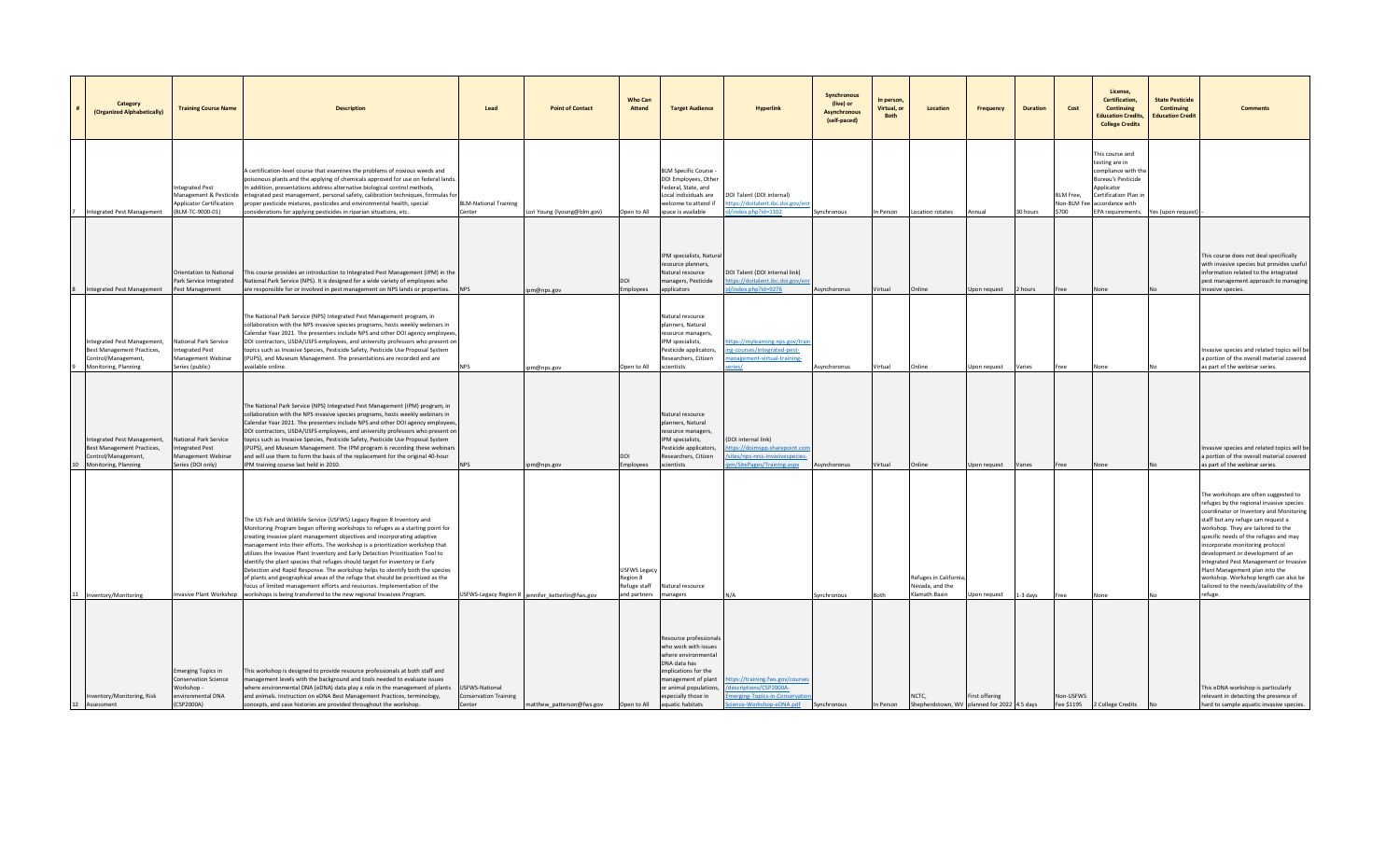| Category<br>(Organized Alphabetically)                                                                          | <b>Training Course Name</b>                                                                        | <b>Description</b>                                                                                                                                                                                                                                                                                                                                                                                                                                                                                                                                                                                                                                                                                                                                                                                                                       | Lead                                   | <b>Point of Contact</b>                          | <b>Who Can</b><br>Attend                                 | <b>Target Audience</b>                                                                                                                                                                                    | <b>Hyperlink</b>                                                                                                     | Synchronous<br>(live) or<br><b>Asynchronous</b><br>(self-paced) | In person,<br>Virtual, or<br><b>Both</b> | Location                                                  | <b>Frequency</b> | <b>Duration</b> | Cost                              | License,<br>Certification,<br>Continuing<br><b>Education Credits,</b><br><b>College Credits</b>                                                                     | <b>State Pesticide</b><br>Continuing<br><b>Education Credit</b> |                                                                                                                                                                                                                                                                                                                                                                                                                                                                                                      |
|-----------------------------------------------------------------------------------------------------------------|----------------------------------------------------------------------------------------------------|------------------------------------------------------------------------------------------------------------------------------------------------------------------------------------------------------------------------------------------------------------------------------------------------------------------------------------------------------------------------------------------------------------------------------------------------------------------------------------------------------------------------------------------------------------------------------------------------------------------------------------------------------------------------------------------------------------------------------------------------------------------------------------------------------------------------------------------|----------------------------------------|--------------------------------------------------|----------------------------------------------------------|-----------------------------------------------------------------------------------------------------------------------------------------------------------------------------------------------------------|----------------------------------------------------------------------------------------------------------------------|-----------------------------------------------------------------|------------------------------------------|-----------------------------------------------------------|------------------|-----------------|-----------------------------------|---------------------------------------------------------------------------------------------------------------------------------------------------------------------|-----------------------------------------------------------------|------------------------------------------------------------------------------------------------------------------------------------------------------------------------------------------------------------------------------------------------------------------------------------------------------------------------------------------------------------------------------------------------------------------------------------------------------------------------------------------------------|
| <b>Integrated Pest Management</b>                                                                               | ntegrated Pest<br><b>Management &amp; Pesticide</b><br>pplicator Certification<br>(BLM-TC-9000-01) | A certification-level course that examines the problems of noxious weeds and<br>poisonous plants and the applying of chemicals approved for use on federal lands.<br>n addition, presentations address alternative biological control methods,<br>integrated pest management, personal safety, calibration techniques, formulas fo<br>proper pesticide mixtures, pesticides and environmental health, special<br>considerations for applying pesticides in riparian situations, etc                                                                                                                                                                                                                                                                                                                                                      | <b>BLM-National Training</b><br>Center | Lori Young (Iyoung@blm.gov)                      | Open to All                                              | <b>BLM Specific Course -</b><br>DOI Employees, Other<br>ederal, State, and<br>ocal individuals are<br>welcome to attend if<br>space is available                                                          | DOI Talent (DOI internal)<br>tps://doitalent.ibc.doi.gov/<br>index.php?id=1102                                       | Synchronous                                                     | In Person                                | Location rotates                                          | Annual           | 30 hours        | BLM Free,<br>Von-BLM Fee<br>\$700 | This course and<br>testing are in<br>compliance with th<br><b>Bureau's Pesticide</b><br>Applicator<br>Certification Plan in<br>accordance with<br>EPA requirements. | Yes (upon request                                               |                                                                                                                                                                                                                                                                                                                                                                                                                                                                                                      |
| <b>Integrated Pest Management</b>                                                                               | <b>Drientation to National</b><br>ark Service Integrated<br>Pest Management                        | This course provides an introduction to Integrated Pest Management (IPM) in the<br>National Park Service (NPS). It is designed for a wide variety of employees who<br>are responsible for or involved in pest management on NPS lands or properties. NPS                                                                                                                                                                                                                                                                                                                                                                                                                                                                                                                                                                                 |                                        | pm@nps.gov                                       | IOO<br>Employees                                         | IPM specialists, Natura<br>esource planners,<br>Natural resource<br>managers, Pesticide<br>applicators                                                                                                    | DOI Talent (DOI internal link)<br>ttps://doitalent.ibc.doi.gov/e<br>/index.php?id=9276                               | Asynchoronus                                                    | Virtual                                  | Online                                                    | Jpon request     | 2 hours         | ree                               | None                                                                                                                                                                |                                                                 | This course does not deal specifically<br>with invasive species but provides useful<br>information related to the integrated<br>pest management approach to managing<br>invasive species.                                                                                                                                                                                                                                                                                                            |
| Integrated Pest Management,<br><b>Best Management Practices,</b><br>Control/Management,<br>Monitoring, Planning | National Park Service<br>Integrated Pest<br>Management Webinar<br>Series (public)                  | The National Park Service (NPS) Integrated Pest Management program, in<br>collaboration with the NPS invasive species programs, hosts weekly webinars in<br>Calendar Year 2021. The presenters include NPS and other DOI agency employees,<br>DOI contractors, USDA/USFS employees, and university professors who present on<br>opics such as Invasive Species, Pesticide Safety, Pesticide Use Proposal System<br>(PUPS), and Museum Management. The presentations are recorded and are<br>available online.                                                                                                                                                                                                                                                                                                                            |                                        | pm@nps.gov                                       | Open to All                                              | Natural resource<br>planners, Natural<br>esource managers,<br>IPM specialists,<br>Pesticide applicators,<br>Researchers, Citizen<br>scientists                                                            | ttps://mylearning.nps.gov/tra<br>ing-courses/integrated-pest-<br>nanagement-virtual-training-<br>eries/              | Asynchoronus                                                    | Virtual                                  | Online                                                    | Upon request     | Varies          | Free                              | None                                                                                                                                                                |                                                                 | nvasive species and related topics will be<br>a portion of the overall material covered<br>as part of the webinar series.                                                                                                                                                                                                                                                                                                                                                                            |
| Integrated Pest Management,<br>Best Management Practices,<br>Control/Management,<br>0 Monitoring, Planning      | National Park Service<br>ntegrated Pest<br>Aanagement Webinar<br>Series (DOI only)                 | The National Park Service (NPS) Integrated Pest Management (IPM) program, in<br>collaboration with the NPS invasive species programs, hosts weekly webinars in<br>Calendar Year 2021. The presenters include NPS and other DOI agency employees<br>DOI contractors, USDA/USFS employees, and university professors who present or<br>topics such as Invasive Species, Pesticide Safety, Pesticide Use Proposal System<br>(PUPS), and Museum Management. The IPM program is recording these webinars<br>and will use them to form the basis of the replacement for the original 40-hour<br>IPM training course last held in 2010.                                                                                                                                                                                                         |                                        | om@nps.gov                                       | ומם<br>Employees                                         | Natural resource<br>planners, Natural<br>esource managers<br>IPM specialists,<br>Pesticide applicators,<br>Researchers, Citizen<br>scientists                                                             | (DOI internal link)<br>ttps://doimspp.sharepoint.com<br>ites/nps-nrss-invasivespecies<br>n/SitePages/Training.aspx   | Asynchoronus                                                    | Virtual                                  | Online                                                    | Jpon request     | Varies          | Free                              | None                                                                                                                                                                |                                                                 | Invasive species and related topics will be<br>a portion of the overall material covered<br>as part of the webinar series.                                                                                                                                                                                                                                                                                                                                                                           |
| 11 Inventory/Monitoring                                                                                         |                                                                                                    | The US Fish and Wildlife Service (USFWS) Legacy Region 8 Inventory and<br>Monitoring Program began offering workshops to refuges as a starting point for<br>creating invasive plant management objectives and incorporating adaptive<br>management into their efforts. The workshop is a prioritization workshop that<br>utilizes the Invasive Plant Inventory and Early Detection Prioritization Tool to<br>dentify the plant species that refuges should target for inventory or Early<br>Detection and Rapid Response. The workshop helps to identify both the species<br>of plants and geographical areas of the refuge that should be prioritized as the<br>ocus of limited management efforts and resources. Implementation of the<br>nvasive Plant Workshop workshops is being transferred to the new regional Invasives Program. |                                        | USFWS-Legacy Region 8 jennifer ketterlin@fws.gov | USFWS Legacy<br>Region 8<br>Refuge staff<br>and partners | Natural resource<br>nanagers                                                                                                                                                                              |                                                                                                                      | vnchronous                                                      |                                          | Refuges in California<br>Nevada, and the<br>Klamath Basin | Jpon request     | $1-3$ days      |                                   | None                                                                                                                                                                |                                                                 | The workshops are often suggested to<br>refuges by the regional invasive species<br>coordinator or Inventory and Monitoring<br>staff but any refuge can request a<br>workshop. They are tailored to the<br>specific needs of the refuges and may<br>incorporate monitoring protocol<br>development or development of an<br>Integrated Pest Management or Invasive<br>Plant Management plan into the<br>workshop. Workshop length can also be<br>tailored to the needs/availability of the<br>refuge. |
| Inventory/Monitoring, Risk<br>12 Assessment                                                                     | merging Topics in<br>onservation Science<br>Vorkshop -<br>nvironmental DNA<br>CSP2000A)            | This workshop is designed to provide resource professionals at both staff and<br>management levels with the background and tools needed to evaluate issues<br>where environmental DNA (eDNA) data play a role in the management of plants USFWS-National<br>and animals. Instruction on eDNA Best Management Practices, terminology,<br>concepts, and case histories are provided throughout the workshop.                                                                                                                                                                                                                                                                                                                                                                                                                               | Conservation Training<br>Center        | matthew_patterson@fws.gov                        | Open to All                                              | Resource professionals<br>who work with issues<br>where environmental<br>DNA data has<br>implications for the<br>management of plant<br>or animal populations,<br>especially those in<br>aquatic habitats | ttps://training.fws.gov/course<br>escriptions/CSP2000A-<br>merging-Topics-in-Conservatio<br>cience-Workshop-eDNA.pdf | Synchronous                                                     | In Person                                | NCTC,<br>Shepherdstown, WV planned for 2022 4.5 days      | First offering   |                 | -ree<br>Non-USFWS<br>Fee \$1195   | 2 College Credits                                                                                                                                                   |                                                                 | This eDNA workshop is particularly<br>relevant in detecting the presence of<br>hard to sample aquatic invasive species.                                                                                                                                                                                                                                                                                                                                                                              |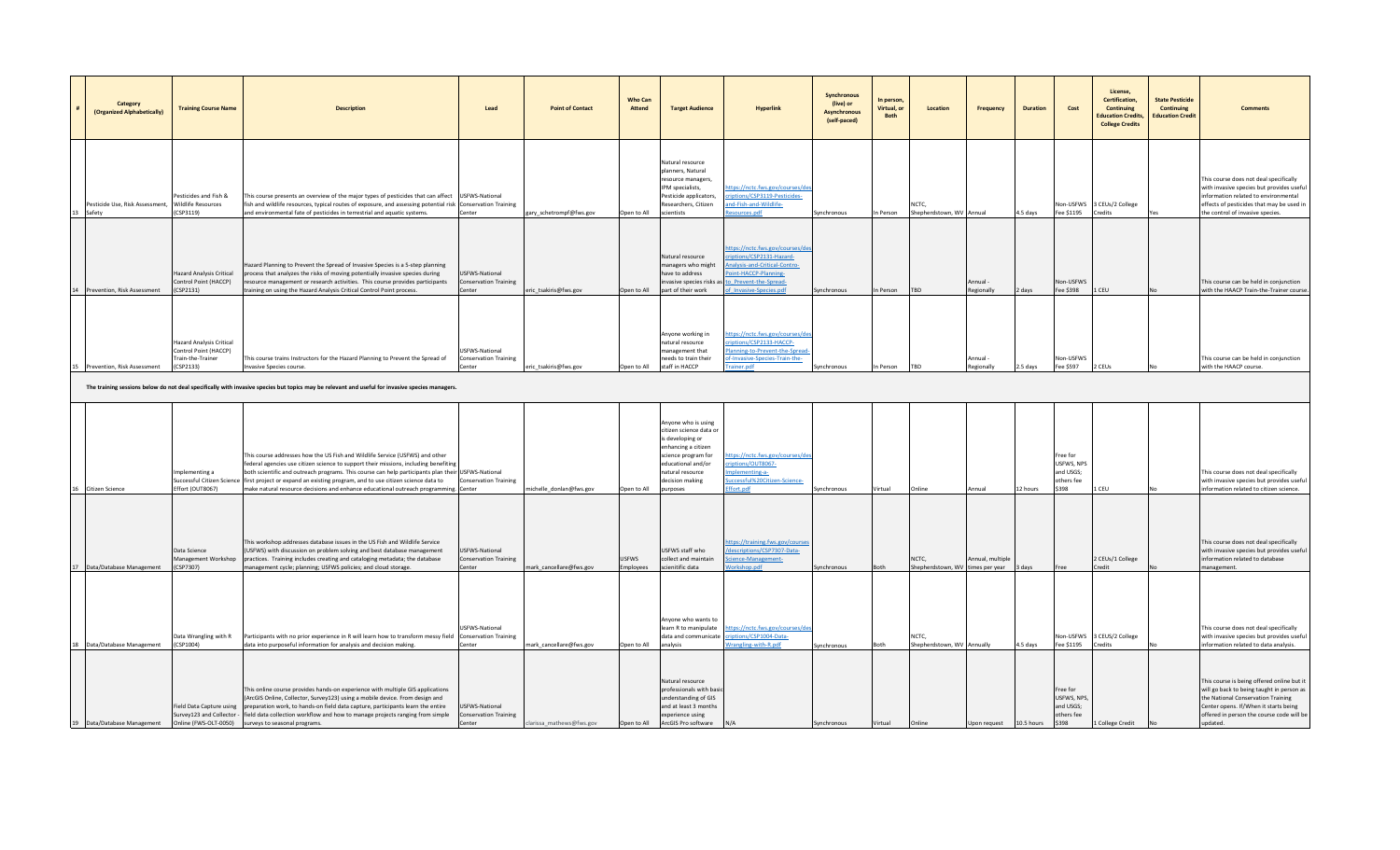| Category<br>(Organized Alphabetically)                       | <b>Training Course Name</b>                                                                | <b>Description</b>                                                                                                                                                                                                                                                                                                                                                                                                                                    | Lead                                                            | <b>Point of Contact</b>  | <b>Who Can</b><br>Attend | <b>Target Audience</b>                                                                                                                                                                           | Hyperlink                                                                                                                                                                                          | Synchronous<br>(live) or<br><b>Asynchronous</b><br>(self-paced) | In person,<br>Virtual, or<br><b>Both</b> | Location                                  | <b>Frequency</b>        | <b>Duration</b> | Cost                                                       | License.<br>Certification,<br>Continuing<br><b>Education Credits.</b><br><b>College Credits</b> | <b>State Pesticide</b><br>Continuing<br><b>Education Credit</b> |                                                                                                                                                                                                                                 |
|--------------------------------------------------------------|--------------------------------------------------------------------------------------------|-------------------------------------------------------------------------------------------------------------------------------------------------------------------------------------------------------------------------------------------------------------------------------------------------------------------------------------------------------------------------------------------------------------------------------------------------------|-----------------------------------------------------------------|--------------------------|--------------------------|--------------------------------------------------------------------------------------------------------------------------------------------------------------------------------------------------|----------------------------------------------------------------------------------------------------------------------------------------------------------------------------------------------------|-----------------------------------------------------------------|------------------------------------------|-------------------------------------------|-------------------------|-----------------|------------------------------------------------------------|-------------------------------------------------------------------------------------------------|-----------------------------------------------------------------|---------------------------------------------------------------------------------------------------------------------------------------------------------------------------------------------------------------------------------|
| Pesticide Use, Risk Assessment, Wildlife Resources<br>Safety | Pesticides and Fish &<br>(CSP3119)                                                         | This course presents an overview of the major types of pesticides that can affect USFWS-National<br>fish and wildlife resources, typical routes of exposure, and assessing potential risk Conservation Training<br>and environmental fate of pesticides in terrestrial and aquatic systems.                                                                                                                                                           | Center                                                          | gary_schetrompf@fws.gov  | Open to All              | Natural resource<br>planners, Natural<br>resource managers.<br>IPM specialists,<br>Pesticide applicators,<br>Researchers, Citizen<br>scientists                                                  | tps://nctc.fws.gov/courses/d<br>riptions/CSP3119-Pesticides-<br>ind-Fish-and-Wildlife-<br>esources.pdf                                                                                             | Synchronous                                                     | n Person                                 | NCTC,<br>Shepherdstown, WV Annual         |                         | 4.5 days        | Fee \$1195                                                 | Non-USFWS 3 CEUs/2 College<br>Credits                                                           |                                                                 | This course does not deal specifically<br>with invasive species but provides useful<br>information related to environmental<br>effects of pesticides that may be used in<br>the control of invasive species.                    |
| Prevention, Risk Assessment                                  | <b>Hazard Analysis Critical</b><br>Control Point (HACCP)<br>(CSP2131)                      | Hazard Planning to Prevent the Spread of Invasive Species is a 5-step planning<br>process that analyzes the risks of moving potentially invasive species during<br>resource management or research activities. This course provides participants<br>training on using the Hazard Analysis Critical Control Point process.                                                                                                                             | USFWS-National<br><b>Conservation Training</b><br>Center        | eric_tsakiris@fws.gov    | Open to All              | Natural resource<br>managers who might<br>have to address<br>part of their work                                                                                                                  | ttps://nctc.fws.gov/courses/de<br>riptions/CSP2131-Hazard-<br>Analysis-and-Critical-Contro-<br>Point-HACCP-Planning-<br>nvasive species risks as to Prevent-the-Spread-<br>of Invasive-Species.pdf | Synchronous                                                     | In Person                                | TBD                                       | Annual -<br>Regionally  | 2 days          | Non-USFWS<br>Fee \$398                                     | 1 CEU                                                                                           |                                                                 | This course can be held in conjunction<br>with the HAACP Train-the-Trainer course.                                                                                                                                              |
| Prevention, Risk Assessment                                  | <b>Hazard Analysis Critical</b><br>Control Point (HACCP)<br>Train-the-Trainer<br>(CSP2133) | This course trains Instructors for the Hazard Planning to Prevent the Spread of<br>nvasive Species course.                                                                                                                                                                                                                                                                                                                                            | JSFWS-National<br><b>Conservation Training</b><br>Center        | ric_tsakiris@fws.gov     | Open to All              | Anyone working in<br>natural resource<br>management that<br>eeds to train their<br>staff in HACCP                                                                                                | https://nctc.fws.gov/courses/c<br>riptions/CSP2133-HACCP-<br>lanning-to-Prevent-the-Spread<br>f-Invasive-Species-Train-the-<br>rainer.ndf                                                          | Synchronous                                                     | n Person                                 | <b>TRD</b>                                | nnual<br>egionally      | 2.5 days        | <b>Jon-USFWS</b><br>Fee \$597                              | 2 CEUs                                                                                          |                                                                 | This course can be held in conjunction<br>with the HAACP course                                                                                                                                                                 |
|                                                              |                                                                                            | The training sessions below do not deal specifically with invasive species but topics may be relevant and useful for invasive species managers.                                                                                                                                                                                                                                                                                                       |                                                                 |                          |                          |                                                                                                                                                                                                  |                                                                                                                                                                                                    |                                                                 |                                          |                                           |                         |                 |                                                            |                                                                                                 |                                                                 |                                                                                                                                                                                                                                 |
| <b>Citizen Science</b>                                       | Implementing a<br>Successful Citizen Science<br>Effort (OUT8067)                           | This course addresses how the US Fish and Wildlife Service (USFWS) and other<br>federal agencies use citizen science to support their missions, including benefiting<br>both scientific and outreach programs. This course can help participants plan their USFWS-National<br>first project or expand an existing program, and to use citizen science data to<br>make natural resource decisions and enhance educational outreach programming. Center | <b>Conservation Training</b>                                    | michelle donlan@fws.gov  | Open to All              | Anyone who is using<br>citizen science data or<br>is developing or<br>enhancing a citizen<br>science program for<br>educational and/or<br>natural resource<br>decision making<br><b>PAPONIUM</b> | tps://nctc.fws.gov/courses/<br>iptions/OUT8067-<br>plementing-a-<br>uccessful%20Citizen-Science-<br>ffort.pdf                                                                                      | <b>Synchronous</b>                                              | Virtual                                  | Online                                    | Annual                  | 12 hours        | ree for<br>USFWS, NPS<br>and USGS;<br>others fee<br>\$398  | LCEU.                                                                                           |                                                                 | This course does not deal specifically<br>with invasive species but provides useful<br>information related to citizen science.                                                                                                  |
| 17 Data/Database Management                                  | Data Science<br>Management Workshop<br>(CSP7307)                                           | This workshop addresses database issues in the US Fish and Wildlife Service<br>(USFWS) with discussion on problem solving and best database management<br>practices. Training includes creating and cataloging metadata; the database<br>management cycle; planning; USFWS policies; and cloud storage.                                                                                                                                               | <b>USFWS-National</b><br><b>Conservation Training</b><br>Center | mark cancellare@fws.gov  | USFWS<br>mployees        | USFWS staff who<br>collect and maintain<br>scienitific data                                                                                                                                      | ttps://training.fws.gov/course<br>descriptions/CSP7307-Data-<br>cience-Management-<br>orkshop.pdf                                                                                                  | Synchronous                                                     | <b>Both</b>                              | NCTC.<br>Shepherdstown, WV times per year | Annual, multiple        | oveh 8          |                                                            | 2 CEUs/1 College<br>credit                                                                      |                                                                 | This course does not deal specifically<br>with invasive species but provides useful<br>information related to database<br>management.                                                                                           |
| 18 Data/Database Management                                  | Data Wrangling with R<br>(CSP1004)                                                         | Participants with no prior experience in R will learn how to transform messy field Conservation Training<br>data into purposeful information for analysis and decision making.                                                                                                                                                                                                                                                                        | USFWS-National<br>Center                                        | nark_cancellare@fws.gov  | Open to All              | Anvone who wants to<br>learn R to manipulate<br>data and communicate<br>analysis                                                                                                                 | https://nctc.fws.gov/courses/d<br>criptions/CSP1004-Data-<br>Vrangling-with-R.pdf                                                                                                                  | Synchronous                                                     | <b>soth</b>                              | NCTC.<br>Shepherdstown, WV Annually       |                         | 4.5 days        | Fee \$1195                                                 | Non-USFWS 3 CEUS/2 College<br>Credits                                                           |                                                                 | This course does not deal specifically<br>with invasive species but provides useful<br>information related to data analysis.                                                                                                    |
| 19 Data/Database Management                                  | Field Data Capture using<br>Survey123 and Collector -<br>Online (FWS-OLT-0050)             | This online course provides hands-on experience with multiple GIS applications<br>(ArcGIS Online, Collector, Survey123) using a mobile device. From design and<br>preparation work, to hands-on field data capture, participants learn the entire<br>field data collection workflow and how to manage projects ranging from simple<br>surveys to seasonal programs.                                                                                   | USFWS-National<br><b>Conservation Training</b><br>Center        | clarissa mathews@fws.gov | Open to All              | Natural resource<br>professionals with bas<br>understanding of GIS<br>and at least 3 months<br>experience using<br>ArcGIS Pro software                                                           | N/A                                                                                                                                                                                                | Synchronous                                                     | Virtual                                  | Online                                    | Jpon request 10.5 hours |                 | Free for<br>USFWS, NPS<br>and USGS;<br>others fee<br>\$398 | College Credit                                                                                  |                                                                 | This course is being offered online but it<br>will go back to being taught in person as<br>the National Conservation Training<br>Center opens. If/When it starts being<br>offered in person the course code will be<br>undated. |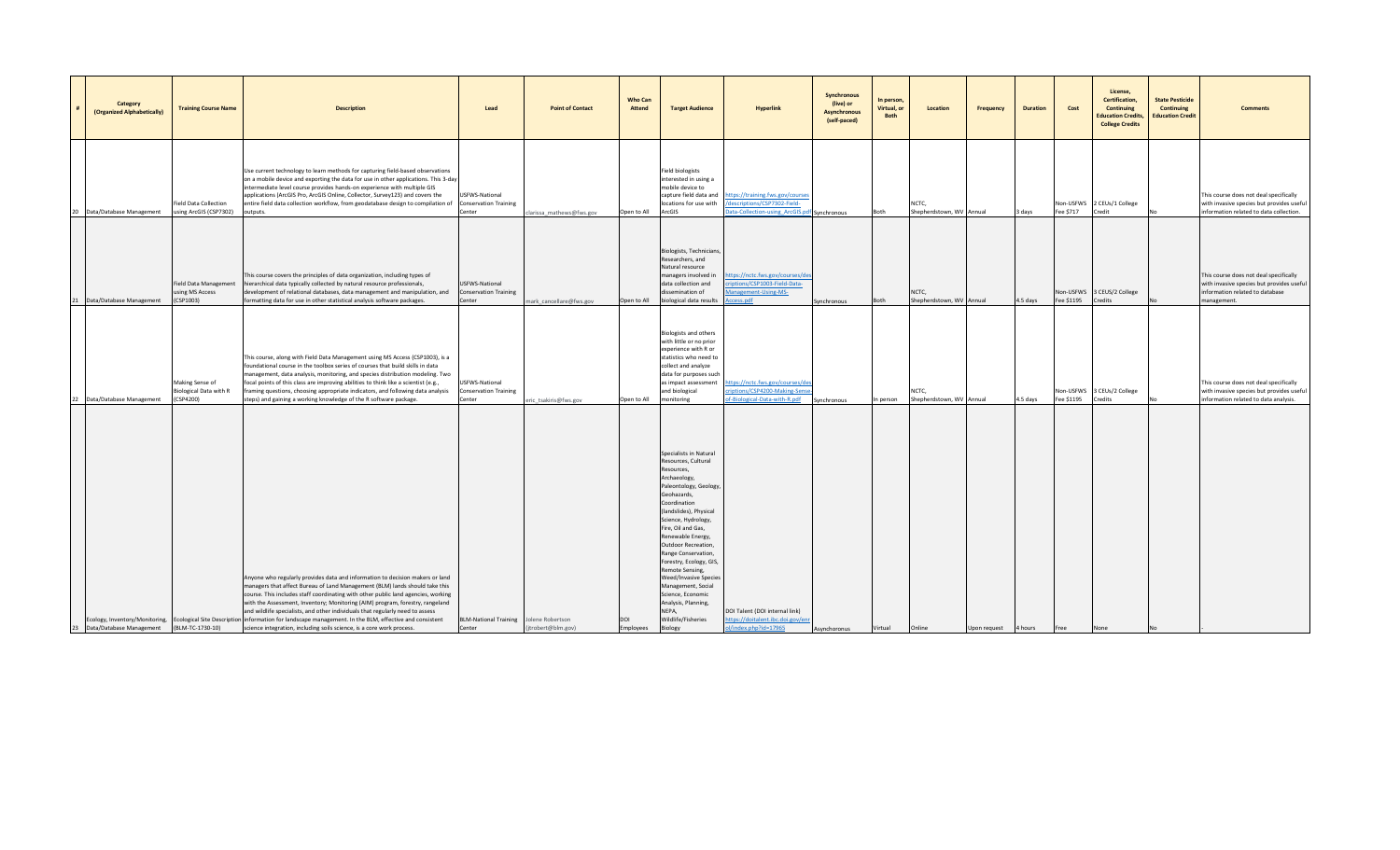| Category<br>(Organized Alphabetically) | <b>Training Course Name</b>                            | <b>Description</b>                                                                                                                                                                                                                                                                                                                                                                                                                                                                                                                                                                                                                    | Lead                                                     | <b>Point of Contact</b>              | <b>Who Can</b><br><b>Attend</b> | <b>Target Audience</b>                                                                                                                                                                                                                                                                                                                                                                                                                                           | <b>Hyperlink</b>                                                                                             | Synchronous<br>(live) or<br><b>Asynchronous</b><br>(self-paced) | In person,<br>Virtual, or<br>Both | Location                                | <b>Frequency</b> | <b>Duration</b> | Cost                    | License,<br>Certification,<br>Continuing<br><b>Education Credits,</b><br><b>College Credits</b> | <b>State Pesticide</b><br><b>Continuing</b><br><b>Education Credit</b> | <b>Comments</b>                                                                                                                       |
|----------------------------------------|--------------------------------------------------------|---------------------------------------------------------------------------------------------------------------------------------------------------------------------------------------------------------------------------------------------------------------------------------------------------------------------------------------------------------------------------------------------------------------------------------------------------------------------------------------------------------------------------------------------------------------------------------------------------------------------------------------|----------------------------------------------------------|--------------------------------------|---------------------------------|------------------------------------------------------------------------------------------------------------------------------------------------------------------------------------------------------------------------------------------------------------------------------------------------------------------------------------------------------------------------------------------------------------------------------------------------------------------|--------------------------------------------------------------------------------------------------------------|-----------------------------------------------------------------|-----------------------------------|-----------------------------------------|------------------|-----------------|-------------------------|-------------------------------------------------------------------------------------------------|------------------------------------------------------------------------|---------------------------------------------------------------------------------------------------------------------------------------|
| 20 Data/Database Management            | Field Data Collection<br>using ArcGIS (CSP7302)        | Use current technology to learn methods for capturing field-based observations<br>on a mobile device and exporting the data for use in other applications. This 3-day<br>intermediate level course provides hands-on experience with multiple GIS<br>applications (ArcGIS Pro, ArcGIS Online, Collector, Survey123) and covers the<br>entire field data collection workflow, from geodatabase design to compilation of<br>outputs.                                                                                                                                                                                                    | USFWS-National<br><b>Conservation Training</b><br>Center | arissa_mathews@fws.gov               | Open to All                     | Field biologists<br>interested in using a<br>mobile device to<br>capture field data and<br>locations for use with<br>ArcGIS                                                                                                                                                                                                                                                                                                                                      | ttps://training.fws.gov/course<br>descriptions/CSP7302-Field-<br>ata-Collection-using ArcGIS.pdf Synchronous |                                                                 | Both                              | <b>NCTC</b><br>Shepherdstown, WV Annual |                  | 3 days          | Non-USFWS<br>Fee \$717  | 2 CEUs/1 College<br>Credit                                                                      |                                                                        | This course does not deal specifically<br>with invasive species but provides useful<br>information related to data collection.        |
| 21 Data/Database Management            | using MS Access<br>(CSP1003)                           | This course covers the principles of data organization, including types of<br>Field Data Management hierarchical data typically collected by natural resource professionals,<br>development of relational databases, data management and manipulation, and<br>formatting data for use in other statistical analysis software packages.                                                                                                                                                                                                                                                                                                | USFWS-National<br><b>Conservation Training</b><br>Center | mark_cancellare@fws.gov              | Open to All                     | Biologists, Technicians<br>Researchers, and<br>Natural resource<br>managers involved in<br>data collection and<br>dissemination of<br>biological data results                                                                                                                                                                                                                                                                                                    | tps://nctc.fws.gov/courses/de<br>riptions/CSP1003-Field-Data-<br>lanagement-Using-MS-<br>cess.pdf            | Synchronous                                                     | Both                              | NCTC,<br>Shepherdstown, WV              | Annual           | 4.5 days        | Fee \$1195              | Non-USFWS 3 CEUS/2 College<br>Credits                                                           |                                                                        | This course does not deal specifically<br>with invasive species but provides useful<br>information related to database<br>management. |
| 22 Data/Database Management            | Making Sense of<br>Biological Data with R<br>(CSP4200) | This course, along with Field Data Management using MS Access (CSP1003), is a<br>foundational course in the toolbox series of courses that build skills in data<br>management, data analysis, monitoring, and species distribution modeling. Two<br>focal points of this class are improving abilities to think like a scientist (e.g.,<br>framing questions, choosing appropriate indicators, and following data analysis<br>steps) and gaining a working knowledge of the R software package.                                                                                                                                       | JSFWS-National<br>Conservation Training<br>Center        | ic_tsakiris@fws.gov                  | Open to All                     | <b>Biologists and others</b><br>with little or no prior<br>experience with R or<br>statistics who need to<br>collect and analyze<br>data for purposes such<br>as impact assessment<br>and biological<br>monitoring                                                                                                                                                                                                                                               | ttps://nctc.fws.gov/courses/de<br>riptions/CSP4200-Making-Sens<br>f-Biological-Data-with-R.pdf               | Synchronous                                                     | In person                         | NCTC,<br>Shepherdstown, WV Annual       |                  | 4.5 days        | Non-USFWS<br>Fee \$1195 | 3 CEUs/2 College<br>Credits                                                                     |                                                                        | This course does not deal specifically<br>with invasive species but provides useful<br>information related to data analysis.          |
| 23 Data/Database Management            | (BLM-TC-1730-10)                                       | Anyone who regularly provides data and information to decision makers or land<br>managers that affect Bureau of Land Management (BLM) lands should take this<br>course. This includes staff coordinating with other public land agencies, working<br>with the Assessment, Inventory; Monitoring (AIM) program, forestry, rangeland<br>and wildlife specialists, and other individuals that regularly need to assess<br>Ecology, Inventory/Monitoring, Ecological Site Description information for landscape management. In the BLM, effective and consistent<br>science integration, including soils science, is a core work process. | <b>BLM-National Training</b><br>Center                   | Jolene Robertson<br>trobert@blm.gov) | DOI<br>Employees                | Specialists in Natural<br>Resources, Cultural<br>Resources,<br>Archaeology,<br>Paleontology, Geology<br>Geohazards,<br>Coordination<br>(landslides), Physical<br>Science, Hydrology,<br>Fire, Oil and Gas,<br>Renewable Energy,<br>Outdoor Recreation,<br>Range Conservation,<br>Forestry, Ecology, GIS,<br>Remote Sensing,<br>Weed/Invasive Species<br>Management, Social<br>Science, Economic<br>Analysis, Planning,<br>NEPA,<br>Wildlife/Fisheries<br>Biology | DOI Talent (DOI internal link)<br>ttps://doitalent.ibc.doi.gov/e<br>/index.php?id=17965                      | Asynchoronus                                                    | Virtual                           | Online                                  | Upon request     | 4 hours         | Free                    | None                                                                                            |                                                                        |                                                                                                                                       |